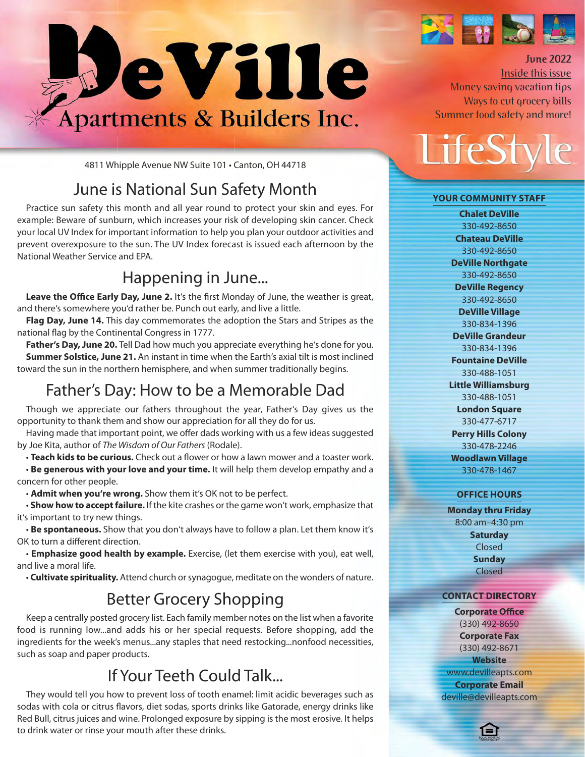

4811 Whipple Avenue NW Suite 101 • Canton, OH 44718

## June is National Sun Safety Month

Practice sun safety this month and all year round to protect your skin and eyes. For example: Beware of sunburn, which increases your risk of developing skin cancer. Check your local UV Index for important information to help you plan your outdoor activities and prevent overexposure to the sun. The UV Index forecast is issued each afternoon by the National Weather Service and EPA.

### Happening in June...

Leave the Office Early Day, June 2. It's the first Monday of June, the weather is great, and there's somewhere you'd rather be. Punch out early, and live a little.

**Flag Day, June 14.** This day commemorates the adoption the Stars and Stripes as the national flag by the Continental Congress in 1777.

Father's Day, June 20. Tell Dad how much you appreciate everything he's done for you. **Summer Solstice, June 21.** An instant in time when the Earth's axial tilt is most inclined toward the sun in the northern hemisphere, and when summer traditionally begins.

## Father's Day: How to be a Memorable Dad

Though we appreciate our fathers throughout the year, Father's Day gives us the opportunity to thank them and show our appreciation for all they do for us.

Having made that important point, we offer dads working with us a few ideas suggested by Joe Kita, author of The Wisdom of Our Fathers (Rodale).

• **Teach kids to be curious.** Check out a flower or how a lawn mower and a toaster work.

• **Be generous with your love and your time.** It will help them develop empathy and a concern for other people.

• **Admit when you're wrong.** Show them it's OK not to be perfect.

• **Show how to accept failure.** If the kite crashes or the game won't work, emphasize that it's important to try new things.

• **Be spontaneous.** Show that you don't always have to follow a plan. Let them know it's OK to turn a different direction.

• **Emphasize good health by example.** Exercise, (let them exercise with you), eat well, and live a moral life.

• **Cultivate spirituality.** Attend church or synagogue, meditate on the wonders of nature.

## Better Grocery Shopping

Keep a centrally posted grocery list. Each family member notes on the list when a favorite food is running low...and adds his or her special requests. Before shopping, add the ingredients for the week's menus...any staples that need restocking...nonfood necessities, such as soap and paper products.

## If Your Teeth Could Talk...

They would tell you how to prevent loss of tooth enamel: limit acidic beverages such as sodas with cola or citrus flavors, diet sodas, sports drinks like Gatorade, energy drinks like Red Bull, citrus juices and wine. Prolonged exposure by sipping is the most erosive. It helps to drink water or rinse your mouth after these drinks.



## **June 2022**

Inside this issue Money saving vacation tips Ways to cut grocery bills Summer food safety and more!

LifeSt

#### **Your CommunitY Staff**

**Chalet DeVille** 330-492-8650 **Chateau DeVille** 330-492-8650 **DeVille Northgate** 330-492-8650 **DeVille Regency** 330-492-8650 **DeVille Village** 330-834-1396 **DeVille Grandeur** 330-834-1396 **fountaine DeVille** 330-488-1051 **Little Williamsburg** 330-488-1051 **London Square** 330-477-6717 **Perry Hills Colony** 330-478-2246 **Woodlawn Village** 330-478-1467

#### **offiCe HourS**

**monday thru friday** 8:00 am–4:30 pm **Saturday** Closed **Sunday** Closed

#### **ContaCt DireCtorY**

**Corporate office** (330) 492-8650 **Corporate fax** (330) 492-8671 **Website** www.devilleapts.com **Corporate Email** deville@devilleapts.com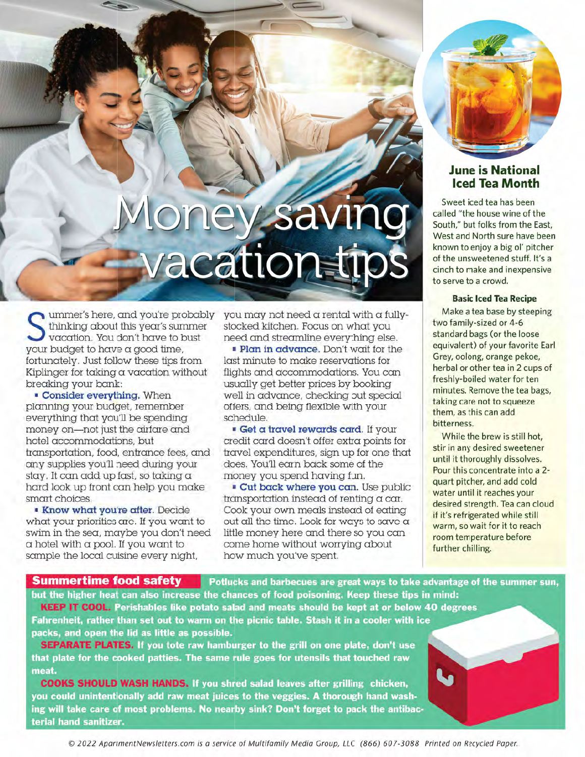# pney savi vacationsti

ummer's here, and you're probably thinking about this year's summer vacation. You don't have to bust your budget to have a good time, fortunately. Just follow these tips from Kiplinger for taking a vacation without breaking your bank:

**Consider everything.** When planning your budget, remember everything that you'll be spending money on-not just the airfare and hotel accommodations, but transportation, food, entrance fees, and any supplies you'll need during your stay. It can add up fast, so taking a hard look up front can help you make smart choices.

**. Know what you're after.** Decide what your priorities are. If you want to swim in the sea, maybe you don't need  $\alpha$  hotel with  $\alpha$  pool. If you want to sample the local cuisine every night,

you may not need a rental with a fullystocked kitchen. Focus on what you need and streamline everything else.

Plan in advance. Don't wait for the last minute to make reservations for flights and accommodations. You can usually get better prices by booking well in advance, checking out special offers, and being flexible with your schedule.

Get a travel rewards card. If your credit card doesn't offer extra points for travel expenditures, sign up for one that does. You'll earn back some of the money you spend having fun.

**Cut back where you can.** Use public transportation instead of renting a car. Cook your own meals instead of eating out all the time. Look for ways to save a little money here and there so you can come home without worrying about how much you've spent.



#### **June is National Iced Tea Month**

Sweet iced tea has been called "the house wine of the South," but folks from the East, West and North sure have been known to enjoy a big ol' pitcher of the unsweetened stuff. It's a cinch to make and inexpensive to serve to a crowd.

#### **Basic Iced Tea Recipe**

Make a tea base by steeping two family-sized or 4-6 standard bags (or the loose equivalent) of your favorite Earl Grey, oolong, orange pekoe, herbal or other tea in 2 cups of freshly-boiled water for ten minutes. Remove the tea bags, taking care not to squeeze them, as this can add bitterness.

While the brew is still hot, stir in any desired sweetener until it thoroughly dissolves. Pour this concentrate into a 2quart pitcher, and add cold water until it reaches your desired strength. Tea can cloud if it's refrigerated while still warm, so wait for it to reach room temperature before further chilling.

**Summertime food safety** Potlucks and barbecues are great ways to take advantage of the summer sun, but the higher heat can also increase the chances of food poisoning. Keep these tips in mind:

KEEP IT COOL. Perishables like potato salad and meats should be kept at or below 40 degrees Fahrenheit, rather than set out to warm on the picnic table. Stash it in a cooler with ice packs, and open the lid as little as possible.

SEPARATE PLATES. If you tote raw hamburger to the grill on one plate, don't use that plate for the cooked patties. The same rule goes for utensils that touched raw meat.

**COOKS SHOULD WASH HANDS.** If you shred salad leaves after grilling chicken, you could unintentionally add raw meat juices to the veggies. A thorough hand washing will take care of most problems. No nearby sink? Don't forget to pack the antibacterial hand sanitizer.

© 2022 ApartmentNewsletters.com is a service of Multifamily Media Group, LLC (866) 607-3088 Printed on Recycled Paper.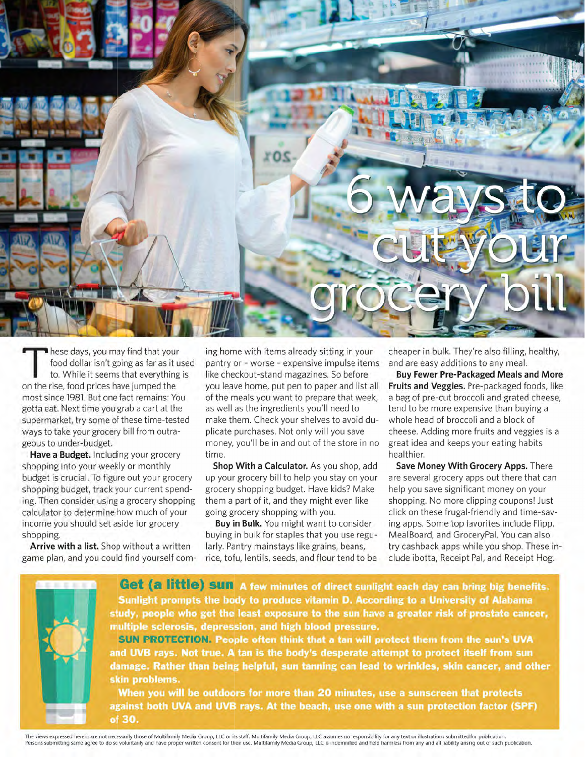

hese days, you may find that your food dollar isn't going as far as it used to. While it seems that everything is on the rise, food prices have jumped the most since 1981. But one fact remains: You gotta eat. Next time you grab a cart at the supermarket, try some of these time-tested ways to take your grocery bill from outrageous to under-budget.

Have a Budget. Including your grocery shopping into your weekly or monthly budget is crucial. To figure out your grocery shopping budget, track your current spending. Then consider using a grocery shopping calculator to determine how much of your income you should set aside for grocery shopping.

Arrive with a list. Shop without a written game plan, and you could find yourself coming home with items already sitting in your pantry or - worse - expensive impulse items like checkout-stand magazines. So before you leave home, put pen to paper and list all of the meals you want to prepare that week, as well as the ingredients you'll need to make them. Check your shelves to avoid duplicate purchases. Not only will you save money, you'll be in and out of the store in no time.

Shop With a Calculator. As you shop, add up your grocery bill to help you stay on your grocery shopping budget. Have kids? Make them a part of it, and they might even like going grocery shopping with you.

Buy in Bulk. You might want to consider buying in bulk for staples that you use regularly. Pantry mainstays like grains, beans, rice, tofu, lentils, seeds, and flour tend to be cheaper in bulk. They're also filling, healthy, and are easy additions to any meal.

**Buy Fewer Pre-Packaged Meals and More** Fruits and Veggies. Pre-packaged foods, like a bag of pre-cut broccoli and grated cheese, tend to be more expensive than buying a whole head of broccoli and a block of cheese. Adding more fruits and veggies is a great idea and keeps your eating habits healthier.

Save Money With Grocery Apps. There are several grocery apps out there that can help you save significant money on your shopping. No more clipping coupons! Just click on these frugal-friendly and time-saving apps. Some top favorites include Flipp, MealBoard, and GroceryPal. You can also try cashback apps while you shop. These include ibotta, Receipt Pal, and Receipt Hog.



The views expressed herein are not necessarily those of Multifamily Media Group, LLC or its staff. Multifamily Media Group, LLC assumes no responsibility for any text or illustrations submitted for publication. Persons submitting same agree to do so voluntarily and have proper written consent for their use. Multifamily Media Group, LLC is indemnified and held harmless from any and all liability arising out of such publication.